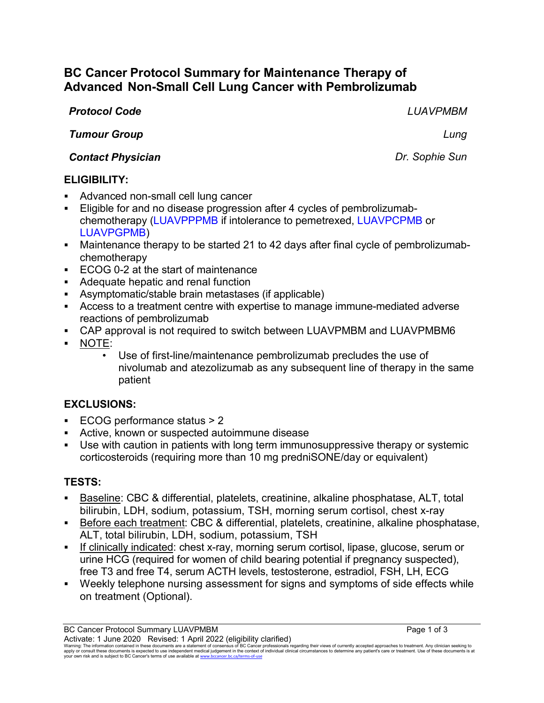# **BC Cancer Protocol Summary for Maintenance Therapy of Advanced Non-Small Cell Lung Cancer with Pembrolizumab**

#### *Protocol Code LUAVPMBM*

*Tumour Group Lung*

*Contact Physician Dr. Sophie Sun*

### **ELIGIBILITY:**

- Advanced non-small cell lung cancer
- Eligible for and no disease progression after 4 cycles of pembrolizumabchemotherapy (LUAVPPPMB if intolerance to pemetrexed, LUAVPCPMB or LUAVPGPMB)
- Maintenance therapy to be started 21 to 42 days after final cycle of pembrolizumabchemotherapy
- ECOG 0-2 at the start of maintenance
- Adequate hepatic and renal function
- Asymptomatic/stable brain metastases (if applicable)
- Access to a treatment centre with expertise to manage immune-mediated adverse reactions of pembrolizumab
- CAP approval is not required to switch between LUAVPMBM and LUAVPMBM6
- NOTE:
	- Use of first-line/maintenance pembrolizumab precludes the use of nivolumab and atezolizumab as any subsequent line of therapy in the same patient

## **EXCLUSIONS:**

- ECOG performance status > 2
- Active, known or suspected autoimmune disease
- Use with caution in patients with long term immunosuppressive therapy or systemic corticosteroids (requiring more than 10 mg predniSONE/day or equivalent)

## **TESTS:**

- Baseline: CBC & differential, platelets, creatinine, alkaline phosphatase, ALT, total bilirubin, LDH, sodium, potassium, TSH, morning serum cortisol, chest x-ray
- Before each treatment: CBC & differential, platelets, creatinine, alkaline phosphatase, ALT, total bilirubin, LDH, sodium, potassium, TSH
- If clinically indicated: chest x-ray, morning serum cortisol, lipase, glucose, serum or urine HCG (required for women of child bearing potential if pregnancy suspected), free T3 and free T4, serum ACTH levels, testosterone, estradiol, FSH, LH, ECG
- Weekly telephone nursing assessment for signs and symptoms of side effects while on treatment (Optional).

Warning: The information contained in these documents are a statement of consensus of BC Cancer professionals regarding their views of currently accepted approaches to treatment. Any clinician seeking to<br>apply or consult t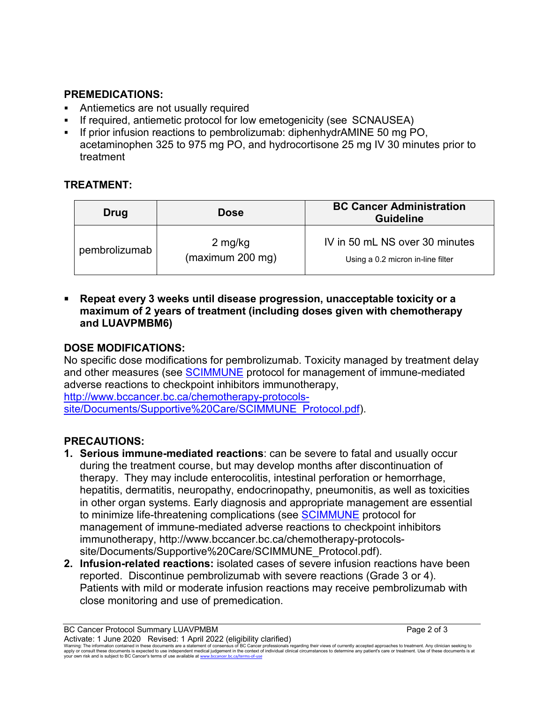### **PREMEDICATIONS:**

- Antiemetics are not usually required
- If required, antiemetic protocol for low emetogenicity (see SCNAUSEA)
- If prior infusion reactions to pembrolizumab: diphenhydrAMINE 50 mg PO, acetaminophen 325 to 975 mg PO, and hydrocortisone 25 mg IV 30 minutes prior to treatment

## **TREATMENT:**

| Drug          | <b>Dose</b>                 | <b>BC Cancer Administration</b><br><b>Guideline</b>                 |
|---------------|-----------------------------|---------------------------------------------------------------------|
| pembrolizumab | 2 mg/kg<br>(maximum 200 mg) | IV in 50 mL NS over 30 minutes<br>Using a 0.2 micron in-line filter |

 **Repeat every 3 weeks until disease progression, unacceptable toxicity or a maximum of 2 years of treatment (including doses given with chemotherapy and LUAVPMBM6)**

# **DOSE MODIFICATIONS:**

No specific dose modifications for pembrolizumab. Toxicity managed by treatment delay and other measures (see [SCIMMUNE](http://www.bccancer.bc.ca/chemotherapy-protocols-site/Documents/Supportive%20Care/SCIMMUNE_Protocol.pdf) protocol for management of immune-mediated adverse reactions to checkpoint inhibitors immunotherapy,

[http://www.bccancer.bc.ca/chemotherapy-protocols](http://www.bccancer.bc.ca/chemotherapy-protocols-site/Documents/Supportive%20Care/SCIMMUNE_Protocol.pdf)[site/Documents/Supportive%20Care/SCIMMUNE\\_Protocol.pdf\)](http://www.bccancer.bc.ca/chemotherapy-protocols-site/Documents/Supportive%20Care/SCIMMUNE_Protocol.pdf).

# **PRECAUTIONS:**

- **1. Serious immune-mediated reactions**: can be severe to fatal and usually occur during the treatment course, but may develop months after discontinuation of therapy. They may include enterocolitis, intestinal perforation or hemorrhage, hepatitis, dermatitis, neuropathy, endocrinopathy, pneumonitis, as well as toxicities in other organ systems. Early diagnosis and appropriate management are essential to minimize life-threatening complications (see [SCIMMUNE](http://www.bccancer.bc.ca/chemotherapy-protocols-site/Documents/Supportive%20Care/SCIMMUNE_Protocol.pdf) protocol for management of immune-mediated adverse reactions to checkpoint inhibitors immunotherapy, http://www.bccancer.bc.ca/chemotherapy-protocolssite/Documents/Supportive%20Care/SCIMMUNE\_Protocol.pdf).
- **2. Infusion-related reactions:** isolated cases of severe infusion reactions have been reported. Discontinue pembrolizumab with severe reactions (Grade 3 or 4). Patients with mild or moderate infusion reactions may receive pembrolizumab with close monitoring and use of premedication.

BC Cancer Protocol Summary LUAVPMBM **Page 2 of 3** Activate: 1 June 2020 Revised: 1 April 2022 (eligibility clarified) Warning: The information contained in these documents are a statement of consensus of BC Cancer professionals regarding their views of currently accepted approaches to treatment. Any clinician seeking to<br>apply or consult t